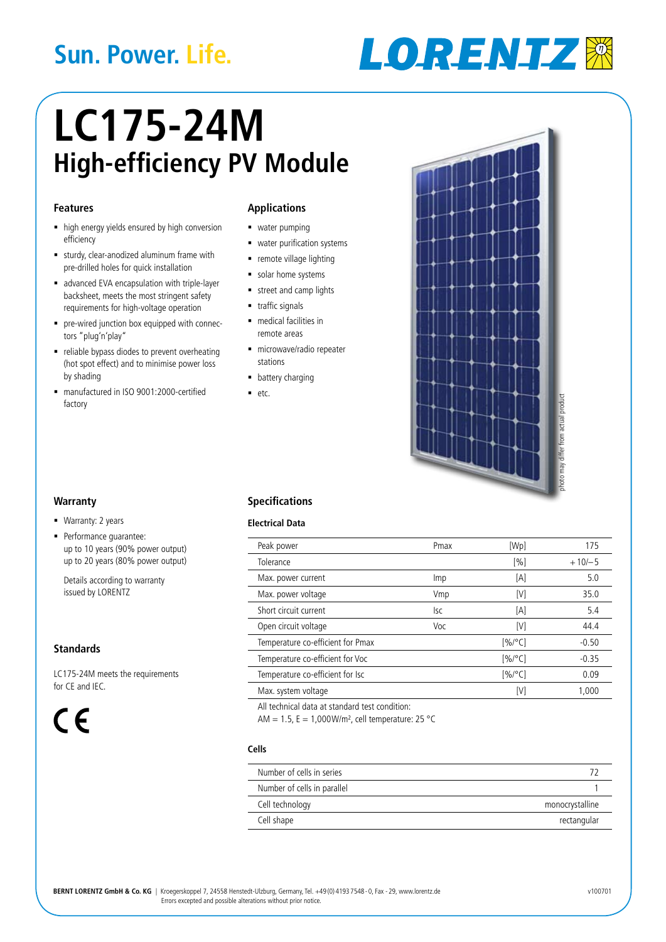# **Sun. Power. Life.**



# **LC175-24M High-efficiency PV Module**

#### **Features**

- high energy yields ensured by high conversion efficiency
- sturdy, clear-anodized aluminum frame with pre-drilled holes for quick installation
- advanced EVA encapsulation with triple-layer backsheet, meets the most stringent safety requirements for high-voltage operation
- pre-wired junction box equipped with connectors "plug'n'play"
- reliable bypass diodes to prevent overheating (hot spot effect) and to minimise power loss by shading
- manufactured in ISO 9001:2000-certified factory

### **Applications**

- **water pumping**
- **water purification systems**
- **•** remote village lighting
- solar home systems
- street and camp lights
- **traffic signals**
- **medical facilities in** remote areas
- microwave/radio repeater stations
- **battery charging**
- $etc.$



## **Specifications**

#### **Electrical Data**

| Peak power                        | Pmax | [Wp]   | 175      |
|-----------------------------------|------|--------|----------|
| Tolerance                         |      | [%]    | $+10/-5$ |
| Max. power current                | Imp  | [A]    | 5.0      |
| Max. power voltage                | Vmp  | [V]    | 35.0     |
| Short circuit current             | lsc  | [A]    | 5.4      |
| Open circuit voltage              | Voc  | [V]    | 44.4     |
| Temperature co-efficient for Pmax |      | [%/°C] | $-0.50$  |
| Temperature co-efficient for Voc  |      | [%/°C] | $-0.35$  |
| Temperature co-efficient for Isc  |      | [%/°C] | 0.09     |
| Max. system voltage               |      | [V]    | 1.000    |
| $\mathbf{1}$                      |      |        |          |

All technical data at standard test condition:

AM = 1.5,  $E = 1.000$  W/m<sup>2</sup>, cell temperature: 25 °C

#### **Cells**

| Number of cells in series   |                 |
|-----------------------------|-----------------|
| Number of cells in parallel |                 |
| Cell technology             | monocrystalline |
| Cell shape                  | rectangular     |

#### **Warranty**

- **Warranty: 2 years**
- **Performance quarantee:** up to 10 years (90% power output) up to 20 years (80% power output)

Details according to warranty issued by LORENTZ

### **Standards**

LC175-24M meets the requirements for CE and IEC.

# $\epsilon$